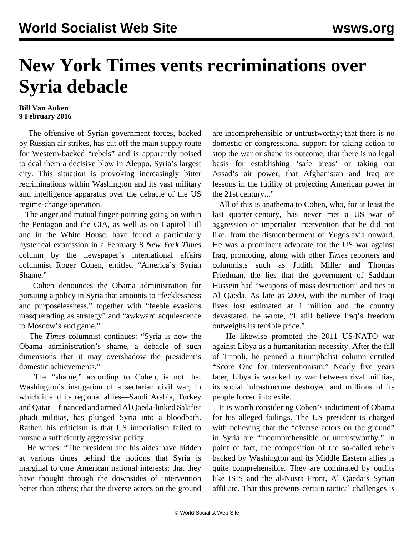## **New York Times vents recriminations over Syria debacle**

## **Bill Van Auken 9 February 2016**

 The offensive of Syrian government forces, backed by Russian air strikes, has cut off the main supply route for Western-backed "rebels" and is apparently poised to deal them a decisive blow in Aleppo, Syria's largest city. This situation is provoking increasingly bitter recriminations within Washington and its vast military and intelligence apparatus over the debacle of the US regime-change operation.

 The anger and mutual finger-pointing going on within the Pentagon and the CIA, as well as on Capitol Hill and in the White House, have found a particularly hysterical expression in a February 8 *New York Times* column by the newspaper's international affairs columnist Roger Cohen, entitled "America's Syrian Shame."

 Cohen denounces the Obama administration for pursuing a policy in Syria that amounts to "fecklessness and purposelessness," together with "feeble evasions masquerading as strategy" and "awkward acquiescence to Moscow's end game."

 The *Times* columnist continues: "Syria is now the Obama administration's shame, a debacle of such dimensions that it may overshadow the president's domestic achievements."

 The "shame," according to Cohen, is not that Washington's instigation of a sectarian civil war, in which it and its regional allies—Saudi Arabia, Turkey and Qatar—financed and armed Al Qaeda-linked Salafist jihadi militias, has plunged Syria into a bloodbath. Rather, his criticism is that US imperialism failed to pursue a sufficiently aggressive policy.

 He writes: "The president and his aides have hidden at various times behind the notions that Syria is marginal to core American national interests; that they have thought through the downsides of intervention better than others; that the diverse actors on the ground are incomprehensible or untrustworthy; that there is no domestic or congressional support for taking action to stop the war or shape its outcome; that there is no legal basis for establishing 'safe areas' or taking out Assad's air power; that Afghanistan and Iraq are lessons in the futility of projecting American power in the 21st century..."

 All of this is anathema to Cohen, who, for at least the last quarter-century, has never met a US war of aggression or imperialist intervention that he did not like, from the dismemberment of Yugoslavia onward. He was a prominent advocate for the US war against Iraq, promoting, along with other *Times* reporters and columnists such as Judith Miller and Thomas Friedman, the lies that the government of Saddam Hussein had "weapons of mass destruction" and ties to Al Qaeda. As late as 2009, with the number of Iraqi lives lost estimated at 1 million and the country devastated, he wrote, "I still believe Iraq's freedom outweighs its terrible price."

 He likewise promoted the 2011 US-NATO war against Libya as a humanitarian necessity. After the fall of Tripoli, he penned a triumphalist column entitled "Score One for Interventionism." Nearly five years later, Libya is wracked by war between rival militias, its social infrastructure destroyed and millions of its people forced into exile.

 It is worth considering Cohen's indictment of Obama for his alleged failings. The US president is charged with believing that the "diverse actors on the ground" in Syria are "incomprehensible or untrustworthy." In point of fact, the composition of the so-called rebels backed by Washington and its Middle Eastern allies is quite comprehensible. They are dominated by outfits like ISIS and the al-Nusra Front, Al Qaeda's Syrian affiliate. That this presents certain tactical challenges is